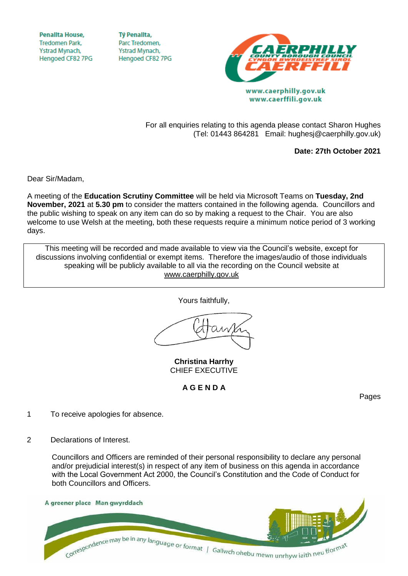**Penallta House,** Tredomen Park. Ystrad Mynach, Hengoed CF82 7PG

**TV Penallta.** Parc Tredomen. Ystrad Mynach, Hengoed CF82 7PG



www.caerffili.gov.uk

For all enquiries relating to this agenda please contact Sharon Hughes (Tel: 01443 864281 Email: hughesj@caerphilly.gov.uk)

**Date: 27th October 2021**

Dear Sir/Madam,

A meeting of the **Education Scrutiny Committee** will be held via Microsoft Teams on **Tuesday, 2nd November, 2021** at **5.30 pm** to consider the matters contained in the following agenda. Councillors and the public wishing to speak on any item can do so by making a request to the Chair. You are also welcome to use Welsh at the meeting, both these requests require a minimum notice period of 3 working days.

This meeting will be recorded and made available to view via the Council's website, except for discussions involving confidential or exempt items. Therefore the images/audio of those individuals speaking will be publicly available to all via the recording on the Council website at [www.caerphilly.gov.uk](http://www.caerphilly.gov.uk/)

Yours faithfully,

**Christina Harrhy** CHIEF EXECUTIVE

**A G E N D A**

Pages

- 1 To receive apologies for absence.
- 2 Declarations of Interest.

Councillors and Officers are reminded of their personal responsibility to declare any personal and/or prejudicial interest(s) in respect of any item of business on this agenda in accordance with the Local Government Act 2000, the Council's Constitution and the Code of Conduct for both Councillors and Officers.

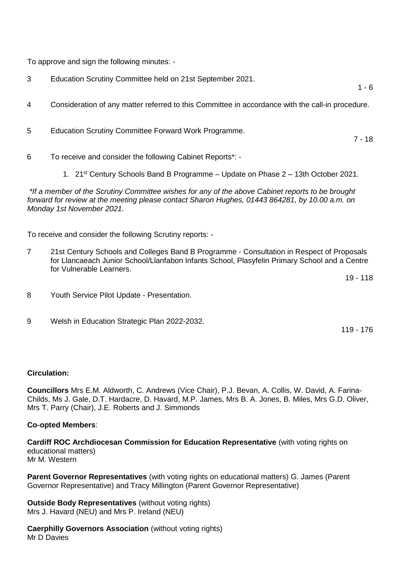To approve and sign the following minutes: -

- 3 Education Scrutiny Committee held on 21st September 2021.
- 4 Consideration of any matter referred to this Committee in accordance with the call-in procedure.
- 5 Education Scrutiny Committee Forward Work Programme.
- 6 To receive and consider the following Cabinet Reports\*:
	- 1. 21<sup>st</sup> Century Schools Band B Programme Update on Phase 2 13th October 2021.

*\*If a member of the Scrutiny Committee wishes for any of the above Cabinet reports to be brought forward for review at the meeting please contact Sharon Hughes, 01443 864281, by 10.00 a.m. on Monday 1st November 2021.*

To receive and consider the following Scrutiny reports: -

7 21st Century Schools and Colleges Band B Programme - Consultation in Respect of Proposals for Llancaeach Junior School/Llanfabon Infants School, Plasyfelin Primary School and a Centre for Vulnerable Learners.

19 - 118

 $1 - 6$ 

7 - 18

- 8 Youth Service Pilot Update Presentation.
- 9 Welsh in Education Strategic Plan 2022-2032.

119 - 176

## **Circulation:**

**Councillors** Mrs E.M. Aldworth, C. Andrews (Vice Chair), P.J. Bevan, A. Collis, W. David, A. Farina-Childs, Ms J. Gale, D.T. Hardacre, D. Havard, M.P. James, Mrs B. A. Jones, B. Miles, Mrs G.D. Oliver, Mrs T. Parry (Chair), J.E. Roberts and J. Simmonds

## **Co-opted Members**:

**Cardiff ROC Archdiocesan Commission for Education Representative** (with voting rights on educational matters) Mr M. Western

**Parent Governor Representatives** (with voting rights on educational matters) G. James (Parent Governor Representative) and Tracy Millington (Parent Governor Representative)

**Outside Body Representatives** (without voting rights) Mrs J. Havard (NEU) and Mrs P. Ireland (NEU)

**Caerphilly Governors Association** (without voting rights) Mr D Davies